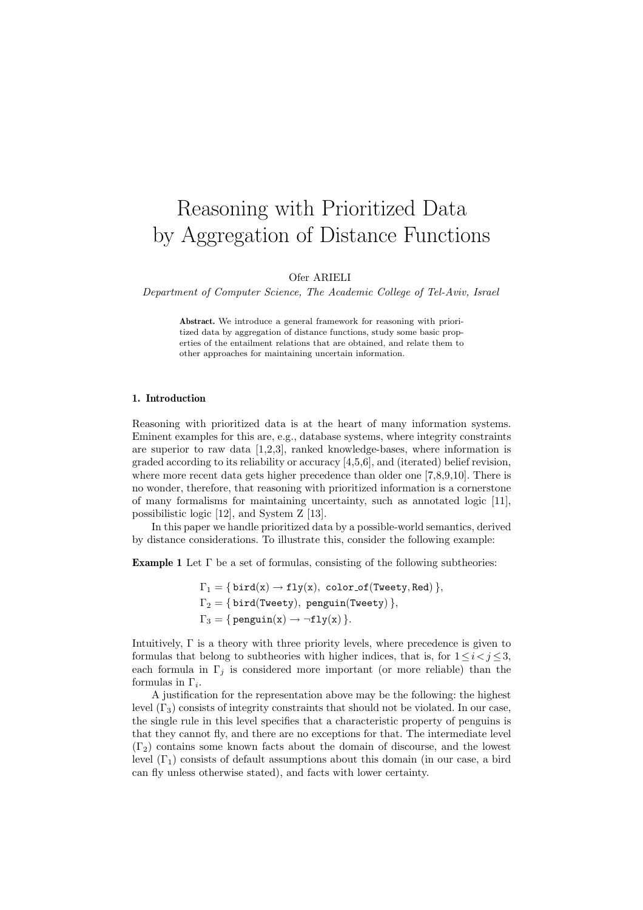# Reasoning with Prioritized Data by Aggregation of Distance Functions

Ofer ARIELI

Department of Computer Science, The Academic College of Tel-Aviv, Israel

Abstract. We introduce a general framework for reasoning with prioritized data by aggregation of distance functions, study some basic properties of the entailment relations that are obtained, and relate them to other approaches for maintaining uncertain information.

### 1. Introduction

Reasoning with prioritized data is at the heart of many information systems. Eminent examples for this are, e.g., database systems, where integrity constraints are superior to raw data  $[1,2,3]$ , ranked knowledge-bases, where information is graded according to its reliability or accuracy [4,5,6], and (iterated) belief revision, where more recent data gets higher precedence than older one [7,8,9,10]. There is no wonder, therefore, that reasoning with prioritized information is a cornerstone of many formalisms for maintaining uncertainty, such as annotated logic [11], possibilistic logic [12], and System Z [13].

In this paper we handle prioritized data by a possible-world semantics, derived by distance considerations. To illustrate this, consider the following example:

**Example 1** Let  $\Gamma$  be a set of formulas, consisting of the following subtheories:

 $\Gamma_1 = \{ \text{bird}(x) \rightarrow \text{fly}(x), \text{ color_of}(\text{Tweety}, \text{Red}) \},$  $\Gamma_2 = \{ \text{bird(Tweety}), \text{ penguin(Tweety)} \},$  $\Gamma_3 = \{$  penguin(x)  $\rightarrow \neg fly(x)$  }.

Intuitively, Γ is a theory with three priority levels, where precedence is given to formulas that belong to subtheories with higher indices, that is, for  $1 \leq i \leq j \leq 3$ , each formula in  $\Gamma_i$  is considered more important (or more reliable) than the formulas in  $\Gamma_i$ .

A justification for the representation above may be the following: the highest level  $(\Gamma_3)$  consists of integrity constraints that should not be violated. In our case, the single rule in this level specifies that a characteristic property of penguins is that they cannot fly, and there are no exceptions for that. The intermediate level  $(\Gamma_2)$  contains some known facts about the domain of discourse, and the lowest level  $(\Gamma_1)$  consists of default assumptions about this domain (in our case, a bird can fly unless otherwise stated), and facts with lower certainty.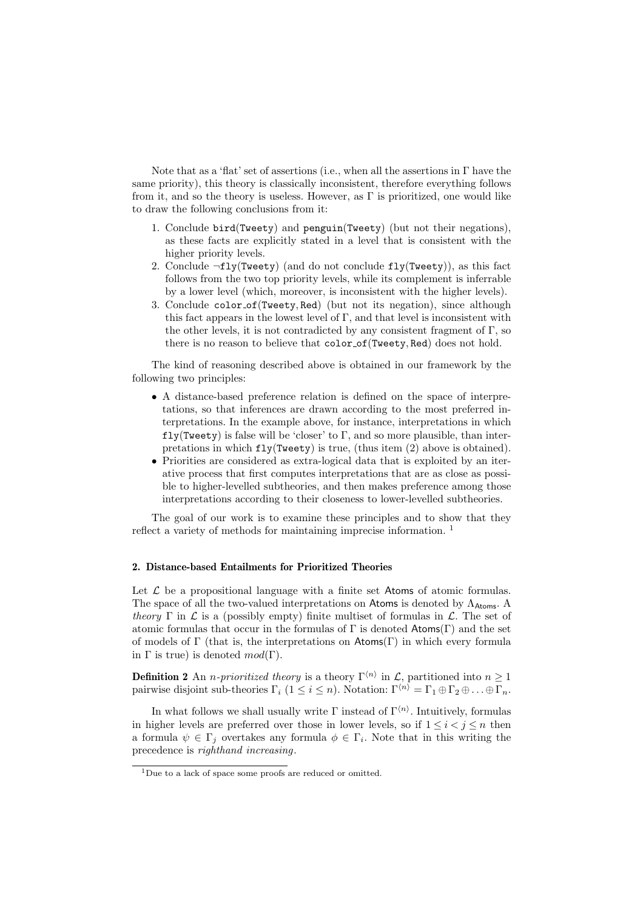Note that as a 'flat' set of assertions (i.e., when all the assertions in Γ have the same priority), this theory is classically inconsistent, therefore everything follows from it, and so the theory is useless. However, as  $\Gamma$  is prioritized, one would like to draw the following conclusions from it:

- 1. Conclude bird(Tweety) and penguin(Tweety) (but not their negations), as these facts are explicitly stated in a level that is consistent with the higher priority levels.
- 2. Conclude  $\neg fly(Tweety)$  (and do not conclude  $fly(Tweety)$ ), as this fact follows from the two top priority levels, while its complement is inferrable by a lower level (which, moreover, is inconsistent with the higher levels).
- 3. Conclude color of(Tweety, Red) (but not its negation), since although this fact appears in the lowest level of  $\Gamma$ , and that level is inconsistent with the other levels, it is not contradicted by any consistent fragment of  $\Gamma$ , so there is no reason to believe that color\_of(Tweety, Red) does not hold.

The kind of reasoning described above is obtained in our framework by the following two principles:

- A distance-based preference relation is defined on the space of interpretations, so that inferences are drawn according to the most preferred interpretations. In the example above, for instance, interpretations in which  $fly(Twety)$  is false will be 'closer' to  $\Gamma$ , and so more plausible, than interpretations in which  $fly(Tweety)$  is true, (thus item (2) above is obtained).
- Priorities are considered as extra-logical data that is exploited by an iterative process that first computes interpretations that are as close as possible to higher-levelled subtheories, and then makes preference among those interpretations according to their closeness to lower-levelled subtheories.

The goal of our work is to examine these principles and to show that they reflect a variety of methods for maintaining imprecise information. <sup>1</sup>

#### 2. Distance-based Entailments for Prioritized Theories

Let  $\mathcal L$  be a propositional language with a finite set Atoms of atomic formulas. The space of all the two-valued interpretations on Atoms is denoted by  $\Lambda_{\text{Atoms}}$ . A theory  $\Gamma$  in  $\mathcal L$  is a (possibly empty) finite multiset of formulas in  $\mathcal L$ . The set of atomic formulas that occur in the formulas of  $\Gamma$  is denoted Atoms( $\Gamma$ ) and the set of models of  $\Gamma$  (that is, the interpretations on  $\mathsf{Atoms}(\Gamma)$  in which every formula in  $\Gamma$  is true) is denoted  $mod(\Gamma)$ .

**Definition 2** An *n-prioritized theory* is a theory  $\Gamma^{(n)}$  in  $\mathcal{L}$ , partitioned into  $n \geq 1$ pairwise disjoint sub-theories  $\Gamma_i$  ( $1 \leq i \leq n$ ). Notation:  $\Gamma^{\langle n \rangle} = \Gamma_1 \oplus \Gamma_2 \oplus \ldots \oplus \Gamma_n$ .

In what follows we shall usually write  $\Gamma$  instead of  $\Gamma^{(n)}$ . Intuitively, formulas in higher levels are preferred over those in lower levels, so if  $1 \leq i < j \leq n$  then a formula  $\psi \in \Gamma_j$  overtakes any formula  $\phi \in \Gamma_i$ . Note that in this writing the precedence is righthand increasing.

<sup>1</sup>Due to a lack of space some proofs are reduced or omitted.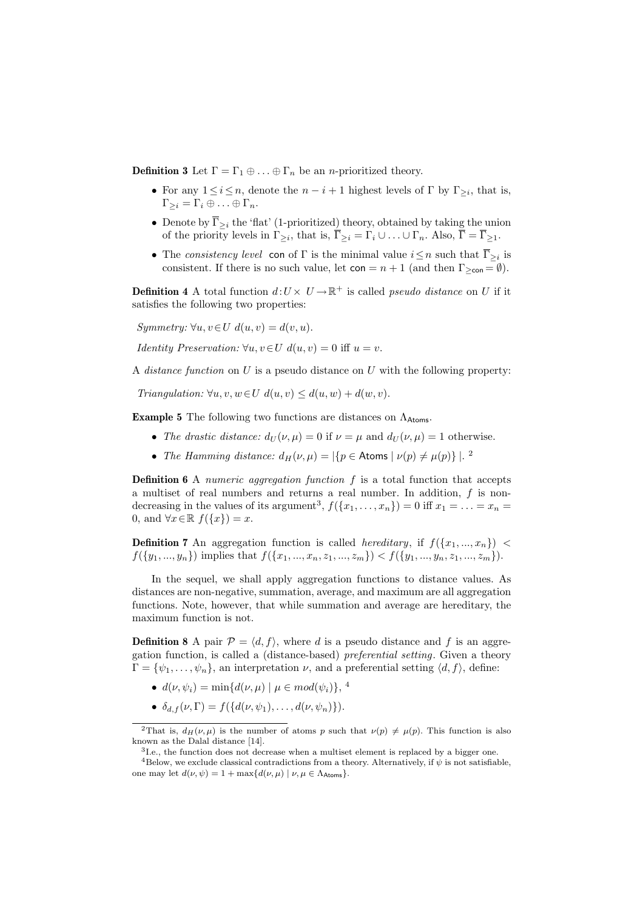**Definition 3** Let  $\Gamma = \Gamma_1 \oplus \ldots \oplus \Gamma_n$  be an *n*-prioritized theory.

- For any  $1 \leq i \leq n$ , denote the  $n i + 1$  highest levels of  $\Gamma$  by  $\Gamma_{\geq i}$ , that is,  $\Gamma_{\geq i} = \Gamma_i \oplus \ldots \oplus \Gamma_n.$
- Denote by  $\overline{\Gamma}_{\geq i}$  the 'flat' (1-prioritized) theory, obtained by taking the union of the priority levels in  $\Gamma_{\geq i}$ , that is,  $\overline{\Gamma}_{\geq i} = \Gamma_i \cup \ldots \cup \Gamma_n$ . Also,  $\overline{\Gamma} = \overline{\Gamma}_{\geq 1}$ .
- The consistency level con of  $\Gamma$  is the minimal value  $i \leq n$  such that  $\overline{\Gamma}_{\geq i}$  is consistent. If there is no such value, let  $con = n + 1$  (and then  $\Gamma_{\text{>\text{con}}}= \emptyset$ ).

**Definition 4** A total function  $d: U \times U \to \mathbb{R}^+$  is called *pseudo distance* on U if it satisfies the following two properties:

Symmetry:  $\forall u, v \in U \ d(u, v) = d(v, u).$ 

*Identity Preservation:*  $\forall u, v \in U \ d(u, v) = 0$  iff  $u = v$ .

A *distance function* on  $U$  is a pseudo distance on  $U$  with the following property:

Triangulation:  $\forall u, v, w \in U \ d(u, v) \leq d(u, w) + d(w, v)$ .

**Example 5** The following two functions are distances on  $\Lambda_{\text{Atoms}}$ .

- The drastic distance:  $d_U(\nu, \mu) = 0$  if  $\nu = \mu$  and  $d_U(\nu, \mu) = 1$  otherwise.
- The Hamming distance:  $d_H(\nu,\mu) = |\{p \in \text{Atoms} \mid \nu(p) \neq \mu(p)\}|$ .

**Definition 6** A numeric aggregation function  $f$  is a total function that accepts a multiset of real numbers and returns a real number. In addition,  $f$  is nondecreasing in the values of its argument<sup>3</sup>,  $f({x_1, \ldots, x_n}) = 0$  iff  $x_1 = \ldots = x_n =$ 0, and  $\forall x \in \mathbb{R}$   $f(\lbrace x \rbrace) = x$ .

**Definition 7** An aggregation function is called *hereditary*, if  $f(\lbrace x_1,...,x_n \rbrace)$  <  $f({y_1,..., y_n})$  implies that  $f({x_1,..., x_n, z_1,..., z_m}) < f({y_1,..., y_n, z_1,..., z_m}).$ 

In the sequel, we shall apply aggregation functions to distance values. As distances are non-negative, summation, average, and maximum are all aggregation functions. Note, however, that while summation and average are hereditary, the maximum function is not.

**Definition 8** A pair  $\mathcal{P} = \langle d, f \rangle$ , where d is a pseudo distance and f is an aggregation function, is called a (distance-based) preferential setting. Given a theory  $\Gamma = {\psi_1, \ldots, \psi_n}$ , an interpretation  $\nu$ , and a preferential setting  $\langle d, f \rangle$ , define:

- $d(\nu, \psi_i) = \min\{d(\nu, \mu) \mid \mu \in mod(\psi_i)\},\,$ <sup>4</sup>
- $\delta_{d,f}(\nu,\Gamma) = f({d(\nu,\psi_1),\ldots,d(\nu,\psi_n)}).$

<sup>2</sup>That is,  $d_H(\nu, \mu)$  is the number of atoms p such that  $\nu(p) \neq \mu(p)$ . This function is also known as the Dalal distance [14].

<sup>&</sup>lt;sup>3</sup>I.e., the function does not decrease when a multiset element is replaced by a bigger one.

<sup>&</sup>lt;sup>4</sup>Below, we exclude classical contradictions from a theory. Alternatively, if  $\psi$  is not satisfiable, one may let  $d(\nu, \psi) = 1 + \max\{d(\nu, \mu) \mid \nu, \mu \in \Lambda_{\text{Atoms}}\}.$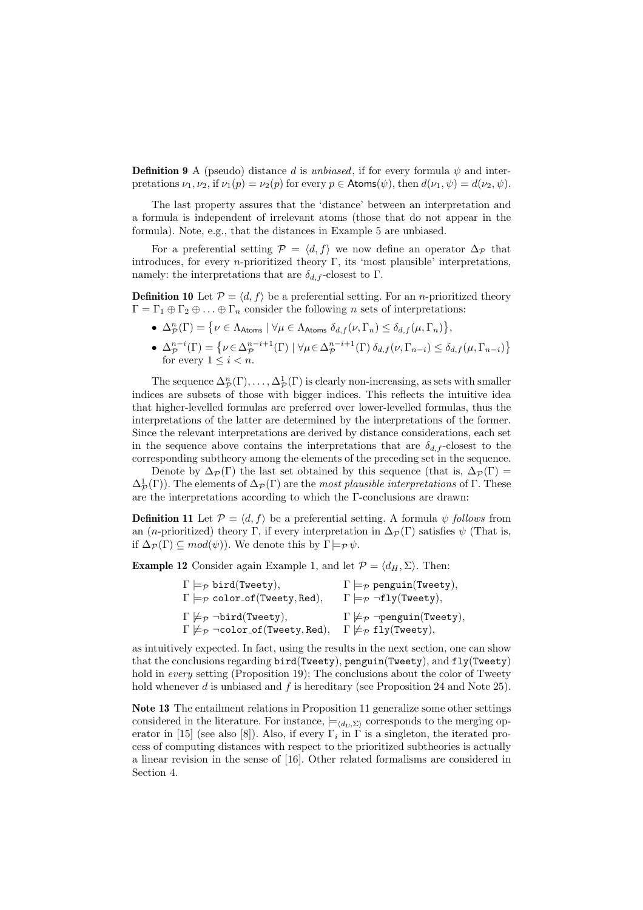**Definition 9** A (pseudo) distance d is unbiased, if for every formula  $\psi$  and interpretations  $\nu_1, \nu_2$ , if  $\nu_1(p) = \nu_2(p)$  for every  $p \in \text{Atoms}(\psi)$ , then  $d(\nu_1, \psi) = d(\nu_2, \psi)$ .

The last property assures that the 'distance' between an interpretation and a formula is independent of irrelevant atoms (those that do not appear in the formula). Note, e.g., that the distances in Example 5 are unbiased.

For a preferential setting  $\mathcal{P} = \langle d, f \rangle$  we now define an operator  $\Delta_{\mathcal{P}}$  that introduces, for every *n*-prioritized theory  $\Gamma$ , its 'most plausible' interpretations, namely: the interpretations that are  $\delta_{d,f}$ -closest to Γ.

**Definition 10** Let  $\mathcal{P} = \langle d, f \rangle$  be a preferential setting. For an *n*-prioritized theory  $\Gamma = \Gamma_1 \oplus \Gamma_2 \oplus \ldots \oplus \Gamma_n$  consider the following n sets of interpretations: ª

- $\Delta_{\mathcal{P}}^n(\Gamma) = \{ \nu \in \Lambda_{\text{Atoms}} \mid \forall \mu \in \Lambda_{\text{Atoms}} \delta_{d,f}(\nu,\Gamma_n) \leq \delta_{d,f}(\mu,\Gamma_n) \}$ ,
- Δ $_{\mathcal{P}}^{n-i}(\Gamma) = \{ \nu \in \Delta_{\mathcal{P}}^{n-i+1}(\Gamma) \mid \forall \mu \in \Delta_{\mathcal{P}}^{n-i+1}(\Gamma) \delta_{d,f}(\nu, \Gamma_{n-i}) \leq \delta_{d,f}(\mu, \Gamma_{n-i}) \}$ ª for every  $1 \leq i < n$ .

The sequence  $\Delta_{\mathcal{P}}^n(\Gamma), \ldots, \Delta_{\mathcal{P}}^1(\Gamma)$  is clearly non-increasing, as sets with smaller indices are subsets of those with bigger indices. This reflects the intuitive idea that higher-levelled formulas are preferred over lower-levelled formulas, thus the interpretations of the latter are determined by the interpretations of the former. Since the relevant interpretations are derived by distance considerations, each set in the sequence above contains the interpretations that are  $\delta_{d,f}$ -closest to the corresponding subtheory among the elements of the preceding set in the sequence.

Denote by  $\Delta_{\mathcal{P}}(\Gamma)$  the last set obtained by this sequence (that is,  $\Delta_{\mathcal{P}}(\Gamma)$ )  $\Delta^1_{\cal P}(\Gamma)$ ). The elements of  $\Delta_{\cal P}(\Gamma)$  are the most plausible interpretations of  $\Gamma$ . These are the interpretations according to which the Γ-conclusions are drawn:

**Definition 11** Let  $\mathcal{P} = \langle d, f \rangle$  be a preferential setting. A formula  $\psi$  follows from an (*n*-prioritized) theory Γ, if every interpretation in  $\Delta_{\mathcal{P}}(\Gamma)$  satisfies  $\psi$  (That is, if  $\Delta_{\mathcal{P}}(\Gamma) \subseteq mod(\psi)$ . We denote this by  $\Gamma \models_{\mathcal{P}} \psi$ .

**Example 12** Consider again Example 1, and let  $\mathcal{P} = \langle d_H, \Sigma \rangle$ . Then:

| $\Gamma \models_{\mathcal{P}} \text{bird(Tweety)},$                        | $\Gamma \models_{\mathcal{P}} \text{penguin(Tweety)},$             |
|----------------------------------------------------------------------------|--------------------------------------------------------------------|
| $\Gamma \models_{\mathcal{P}} \text{color_of}(\text{Tweety}, \text{Red}),$ | $\Gamma \models_{\mathcal{P}} \neg \texttt{fly}(\texttt{Tweety}),$ |
| $\Gamma \not\models_{\mathcal{P}} \neg \text{bird}(\text{Tweety}),$        | $\Gamma \not\models_{\mathcal{P}} \neg$ penguin(Tweety),           |
| $\Gamma \not\models_{\mathcal{P}} \neg color\_of(Tweety, Red),$            | $\Gamma \not\models_{\mathcal{P}} \mathtt{fly}(\mathtt{Tweety}),$  |

as intuitively expected. In fact, using the results in the next section, one can show that the conclusions regarding bird(Tweety), penguin(Tweety), and fly(Tweety) hold in *every* setting (Proposition 19); The conclusions about the color of Tweety hold whenever d is unbiased and f is hereditary (see Proposition 24 and Note 25).

Note 13 The entailment relations in Proposition 11 generalize some other settings considered in the literature. For instance,  $\models \langle d_U, \Sigma \rangle$  corresponds to the merging operator in [15] (see also [8]). Also, if every  $\Gamma_i$  in  $\Gamma$  is a singleton, the iterated process of computing distances with respect to the prioritized subtheories is actually a linear revision in the sense of [16]. Other related formalisms are considered in Section 4.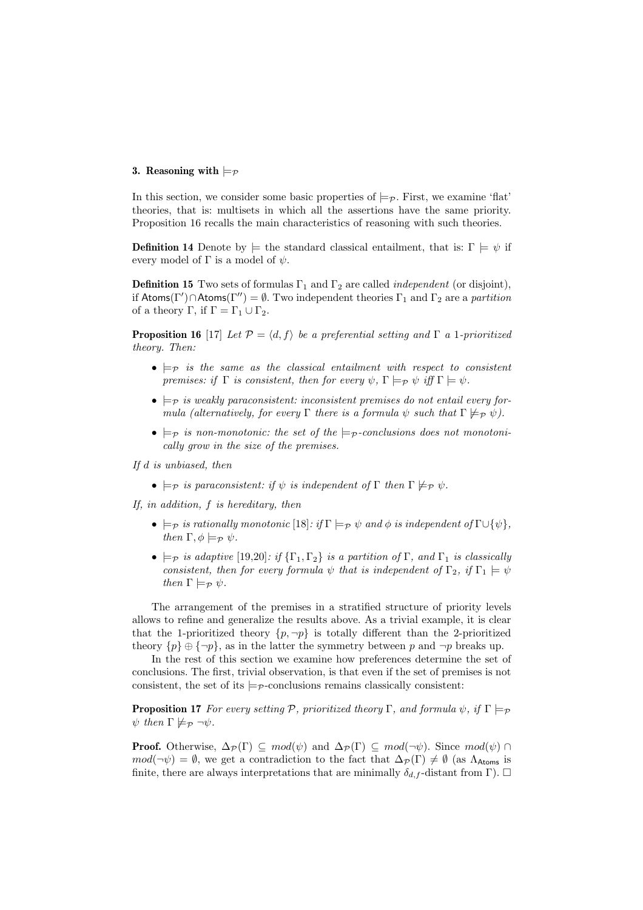## 3. Reasoning with  $\models_{\mathcal{P}}$

In this section, we consider some basic properties of  $\models_{\mathcal{P}}$ . First, we examine 'flat' theories, that is: multisets in which all the assertions have the same priority. Proposition 16 recalls the main characteristics of reasoning with such theories.

**Definition 14** Denote by  $\models$  the standard classical entailment, that is:  $\Gamma \models \psi$  if every model of  $\Gamma$  is a model of  $\psi$ .

**Definition 15** Two sets of formulas  $\Gamma_1$  and  $\Gamma_2$  are called *independent* (or disjoint), if Atoms(Γ')  $\cap$ Atoms(Γ'') =  $\emptyset$ . Two independent theories  $\Gamma_1$  and  $\Gamma_2$  are a partition of a theory  $\Gamma$ , if  $\Gamma = \Gamma_1 \cup \Gamma_2$ .

**Proposition 16** [17] Let  $\mathcal{P} = \langle d, f \rangle$  be a preferential setting and  $\Gamma$  a 1-prioritized theory. Then:

- $\bullet \models_{\mathcal{P}}$  is the same as the classical entailment with respect to consistent premises: if  $\Gamma$  is consistent, then for every  $\psi$ ,  $\Gamma \models_{\mathcal{P}} \psi$  iff  $\Gamma \models \psi$ .
- $\bullet \models_{\mathcal{P}}$  is weakly paraconsistent: inconsistent premises do not entail every formula (alternatively, for every  $\Gamma$  there is a formula  $\psi$  such that  $\Gamma \not\models_{\mathcal{P}} \psi$ ).
- $\models_{\mathcal{P}}$  is non-monotonic: the set of the  $\models_{\mathcal{P}}$ -conclusions does not monotonically grow in the size of the premises.

If d is unbiased, then

•  $\models p$  is paraconsistent: if  $\psi$  is independent of  $\Gamma$  then  $\Gamma \not\models \varphi \psi$ .

If, in addition, f is hereditary, then

- $\models p$  is rationally monotonic [18]: if  $\Gamma \models p \psi$  and  $\phi$  is independent of  $\Gamma \cup {\psi}$ , then  $\Gamma, \phi \models_{\mathcal{P}} \psi$ .
- $\models_{\mathcal{P}}$  is adaptive [19,20]: if  $\{\Gamma_1, \Gamma_2\}$  is a partition of  $\Gamma$ , and  $\Gamma_1$  is classically consistent, then for every formula  $\psi$  that is independent of  $\Gamma_2$ , if  $\Gamma_1 \models \psi$ then  $\Gamma \models_{\mathcal{P}} \psi$ .

The arrangement of the premises in a stratified structure of priority levels allows to refine and generalize the results above. As a trivial example, it is clear that the 1-prioritized theory  $\{p, \neg p\}$  is totally different than the 2-prioritized theory  $\{p\} \oplus \{\neg p\}$ , as in the latter the symmetry between p and  $\neg p$  breaks up.

In the rest of this section we examine how preferences determine the set of conclusions. The first, trivial observation, is that even if the set of premises is not consistent, the set of its  $\models p$ -conclusions remains classically consistent:

**Proposition 17** For every setting P, prioritized theory Γ, and formula  $\psi$ , if  $\Gamma \models_{\mathcal{P}}$  $\psi$  then  $\Gamma \not\models_{\mathcal{P}} \neg \psi$ .

**Proof.** Otherwise,  $\Delta_{\mathcal{P}}(\Gamma) \subseteq mod(\psi)$  and  $\Delta_{\mathcal{P}}(\Gamma) \subseteq mod(\neg \psi)$ . Since  $mod(\psi) \cap$  $mod(\neg \psi) = \emptyset$ , we get a contradiction to the fact that  $\Delta_{\mathcal{P}}(\Gamma) \neq \emptyset$  (as  $\Lambda_{\text{Atoms}}$  is finite, there are always interpretations that are minimally  $\delta_{d,f}$ -distant from Γ).  $\Box$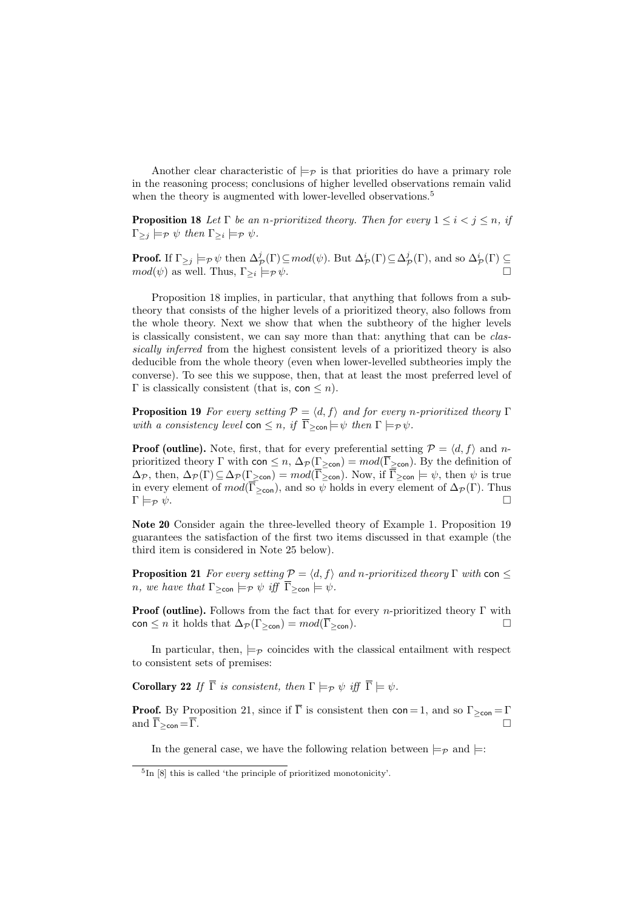Another clear characteristic of  $\models_{\mathcal{P}}$  is that priorities do have a primary role in the reasoning process; conclusions of higher levelled observations remain valid when the theory is augmented with lower-levelled observations.<sup>5</sup>

**Proposition 18** Let  $\Gamma$  be an n-prioritized theory. Then for every  $1 \leq i \leq j \leq n$ , if  $\Gamma_{\geq j} \models_{\mathcal{P}} \psi$  then  $\Gamma_{\geq i} \models_{\mathcal{P}} \psi$ .

**Proof.** If  $\Gamma_{\geq j} \models_{\mathcal{P}} \psi$  then  $\Delta_{\mathcal{P}}^j(\Gamma) \subseteq mod(\psi)$ . But  $\Delta_{\mathcal{P}}^i(\Gamma) \subseteq \Delta_{\mathcal{P}}^j(\Gamma)$ , and so  $\Delta_{\mathcal{P}}^i(\Gamma) \subseteq$  $mod(\psi)$  as well. Thus,  $\Gamma_{\geq i} \models_{\mathcal{P}} \psi$ .

Proposition 18 implies, in particular, that anything that follows from a subtheory that consists of the higher levels of a prioritized theory, also follows from the whole theory. Next we show that when the subtheory of the higher levels is classically consistent, we can say more than that: anything that can be classically inferred from the highest consistent levels of a prioritized theory is also deducible from the whole theory (even when lower-levelled subtheories imply the converse). To see this we suppose, then, that at least the most preferred level of  $\Gamma$  is classically consistent (that is, con  $\leq n$ ).

**Proposition 19** For every setting  $P = \langle d, f \rangle$  and for every n-prioritized theory Γ with a consistency level con  $\leq n$ , if  $\overline{\Gamma}_{\geq \text{con}} \models \psi$  then  $\Gamma \models_{\mathcal{P}} \psi$ .

**Proof (outline).** Note, first, that for every preferential setting  $P = \langle d, f \rangle$  and nprioritized theory Γ with con  $\leq n$ ,  $\Delta_{\mathcal{P}}(\Gamma_{\geq \text{con}}) = mod(\overline{\Gamma}_{\geq \text{con}})$ . By the definition of  $\Delta_{\mathcal{P}}$ , then,  $\Delta_{\mathcal{P}}(\Gamma) \subseteq \Delta_{\mathcal{P}}(\Gamma_{\geq \text{con}}) = mod(\overline{\Gamma}_{\geq \text{con}})$ . Now, if  $\overline{\Gamma}_{\geq \text{con}} \models \psi$ , then  $\psi$  is true in every element of  $mod(\overline{\Gamma}_{\geq con})$ , and so  $\psi$  holds in every element of  $\Delta_{\mathcal{P}}(\Gamma)$ . Thus  $\Gamma \models_{\mathcal{P}} \psi.$ 

Note 20 Consider again the three-levelled theory of Example 1. Proposition 19 guarantees the satisfaction of the first two items discussed in that example (the third item is considered in Note 25 below).

**Proposition 21** For every setting  $P = \langle d, f \rangle$  and n-prioritized theory  $\Gamma$  with con  $\leq$ *n*, we have that  $\Gamma_{\geq \text{con}} \models_{\mathcal{P}} \psi$  iff  $\overline{\Gamma}_{\geq \text{con}} \models \psi$ .

**Proof (outline).** Follows from the fact that for every *n*-prioritized theory  $\Gamma$  with con  $\leq n$  it holds that  $\Delta_{\mathcal{P}}(\Gamma_{\geq \text{con}}) = mod(\overline{\Gamma}_{\geq \text{con}})$ .

In particular, then,  $\models_{\mathcal{P}}$  coincides with the classical entailment with respect to consistent sets of premises:

**Corollary 22** If  $\overline{\Gamma}$  is consistent, then  $\Gamma \models_{\mathcal{P}} \psi$  iff  $\overline{\Gamma} \models \psi$ .

**Proof.** By Proposition 21, since if  $\overline{\Gamma}$  is consistent then  $\text{con} = 1$ , and so  $\Gamma_{\geq \text{con}} = \Gamma$ and  $\overline{\Gamma}_{\geq \mathsf{con}} = \overline{\Gamma}$ .

In the general case, we have the following relation between  $\models_{\mathcal{P}}$  and  $\models$ :

<sup>5</sup> In [8] this is called 'the principle of prioritized monotonicity'.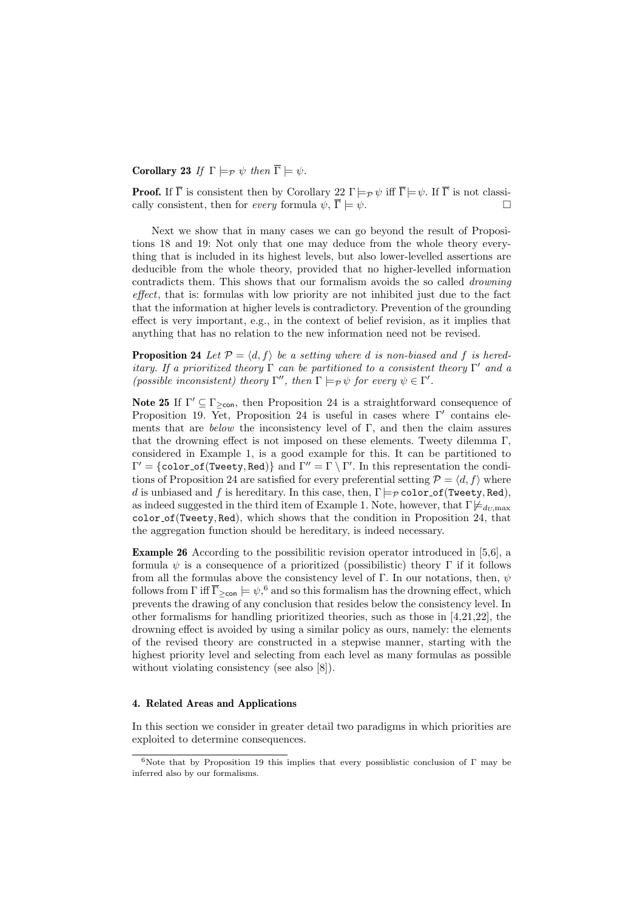# Corollary 23 If  $\Gamma \models_{\mathcal{P}} \psi$  then  $\overline{\Gamma} \models \psi$ .

**Proof.** If  $\overline{\Gamma}$  is consistent then by Corollary 22  $\Gamma \models_{\mathcal{P}} \psi$  iff  $\overline{\Gamma} \models \psi$ . If  $\overline{\Gamma}$  is not classically consistent, then for *every* formula  $\psi$ ,  $\overline{\Gamma} \models \psi$ .

Next we show that in many cases we can go beyond the result of Propositions 18 and 19: Not only that one may deduce from the whole theory everything that is included in its highest levels, but also lower-levelled assertions are deducible from the whole theory, provided that no higher-levelled information contradicts them. This shows that our formalism avoids the so called drowning effect, that is: formulas with low priority are not inhibited just due to the fact that the information at higher levels is contradictory. Prevention of the grounding effect is very important, e.g., in the context of belief revision, as it implies that anything that has no relation to the new information need not be revised.

**Proposition 24** Let  $\mathcal{P} = \langle d, f \rangle$  be a setting where d is non-biased and f is hereditary. If a prioritized theory  $\Gamma$  can be partitioned to a consistent theory  $\Gamma'$  and a (possible inconsistent) theory  $\Gamma''$ , then  $\Gamma \models_{\mathcal{P}} \psi$  for every  $\psi \in \Gamma'$ .

**Note 25** If  $\Gamma' \subseteq \Gamma_{\geq \text{con}}$ , then Proposition 24 is a straightforward consequence of Proposition 19. Yet, Proposition 24 is useful in cases where  $\Gamma'$  contains elements that are *below* the inconsistency level of  $\Gamma$ , and then the claim assures that the drowning effect is not imposed on these elements. Tweety dilemma Γ, considered in Example 1, is a good example for this. It can be partitioned to  $\Gamma' = \{\texttt{color\_of}(\texttt{Twenty}, \texttt{Red})\}$  and  $\Gamma'' = \Gamma \setminus \Gamma'$ . In this representation the conditions of Proposition 24 are satisfied for every preferential setting  $P = \langle d, f \rangle$  where d is unbiased and f is hereditary. In this case, then,  $\Gamma \models_{\mathcal{P}} \text{color_of}(\text{Treety}, \text{Red}),$ as indeed suggested in the third item of Example 1. Note, however, that  $\Gamma \not\models_{d_U,\max}$ color of(Tweety, Red), which shows that the condition in Proposition 24, that the aggregation function should be hereditary, is indeed necessary.

Example 26 According to the possibilitic revision operator introduced in [5,6], a formula  $\psi$  is a consequence of a prioritized (possibilistic) theory Γ if it follows from all the formulas above the consistency level of Γ. In our notations, then,  $\psi$ follows from  $\Gamma$  iff  $\overline{\Gamma}_{\geq \text{con}} \models \psi$ , <sup>6</sup> and so this formalism has the drowning effect, which prevents the drawing of any conclusion that resides below the consistency level. In other formalisms for handling prioritized theories, such as those in [4,21,22], the drowning effect is avoided by using a similar policy as ours, namely: the elements of the revised theory are constructed in a stepwise manner, starting with the highest priority level and selecting from each level as many formulas as possible without violating consistency (see also [8]).

#### 4. Related Areas and Applications

In this section we consider in greater detail two paradigms in which priorities are exploited to determine consequences.

<sup>&</sup>lt;sup>6</sup>Note that by Proposition 19 this implies that every possiblistic conclusion of Γ may be inferred also by our formalisms.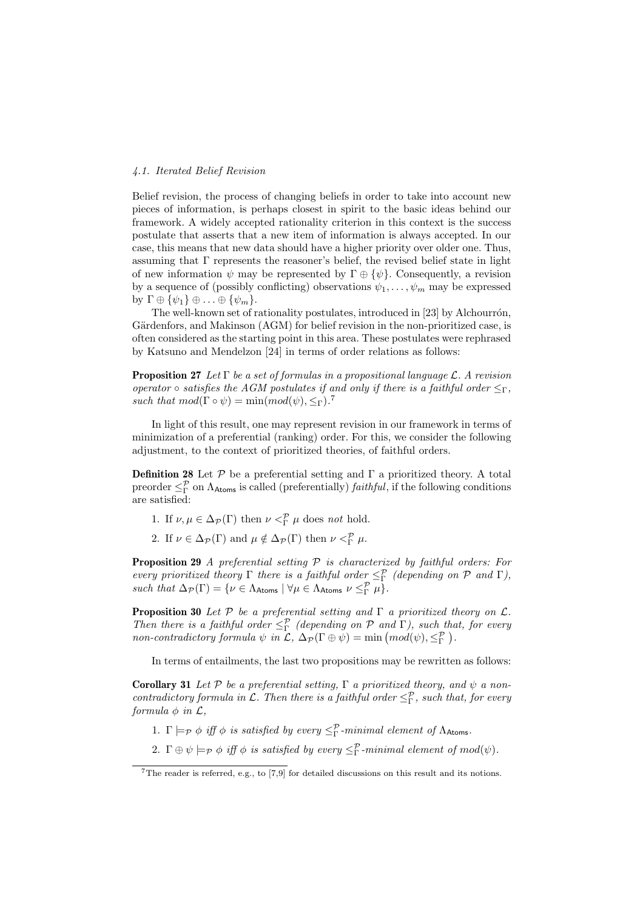# 4.1. Iterated Belief Revision

Belief revision, the process of changing beliefs in order to take into account new pieces of information, is perhaps closest in spirit to the basic ideas behind our framework. A widely accepted rationality criterion in this context is the success postulate that asserts that a new item of information is always accepted. In our case, this means that new data should have a higher priority over older one. Thus, assuming that  $\Gamma$  represents the reasoner's belief, the revised belief state in light of new information  $\psi$  may be represented by  $\Gamma \oplus {\psi}$ . Consequently, a revision by a sequence of (possibly conflicting) observations  $\psi_1, \ldots, \psi_m$  may be expressed by  $\Gamma \oplus {\psi_1} \oplus ... \oplus {\psi_m}$ .

The well-known set of rationality postulates, introduced in [23] by Alchourrón, Gärdenfors, and Makinson (AGM) for belief revision in the non-prioritized case, is often considered as the starting point in this area. These postulates were rephrased by Katsuno and Mendelzon [24] in terms of order relations as follows:

**Proposition 27** Let  $\Gamma$  be a set of formulas in a propositional language L. A revision operator  $\circ$  satisfies the AGM postulates if and only if there is a faithful order  $\leq_{\Gamma}$ , such that  $mod(\Gamma \circ \psi) = \min(mod(\psi), \leq_{\Gamma})$ .<sup>7</sup>

In light of this result, one may represent revision in our framework in terms of minimization of a preferential (ranking) order. For this, we consider the following adjustment, to the context of prioritized theories, of faithful orders.

**Definition 28** Let  $P$  be a preferential setting and  $\Gamma$  a prioritized theory. A total preorder  $\leq^{\mathcal{P}}_{\Gamma}$  on  $\Lambda_{\text{Atoms}}$  is called (preferentially) *faithful*, if the following conditions are satisfied:

- 1. If  $\nu, \mu \in \Delta_{\mathcal{P}}(\Gamma)$  then  $\nu <^{\mathcal{P}}_{\Gamma} \mu$  does *not* hold.
- 2. If  $\nu \in \Delta_{\mathcal{P}}(\Gamma)$  and  $\mu \notin \Delta_{\mathcal{P}}(\Gamma)$  then  $\nu <sup>\mathcal{P}</sup><sub>\Gamma</sub> \mu$ .

**Proposition 29** A preferential setting  $P$  is characterized by faithful orders: For every prioritized theory  $\Gamma$  there is a faithful order  $\leq^{\mathcal{P}}_{\Gamma}$  (depending on  $\mathcal P$  and  $\Gamma$ ), such that  $\Delta_{\mathcal{P}}(\Gamma) = \{ \nu \in \Lambda_{\text{Atoms}} \mid \forall \mu \in \Lambda_{\text{Atoms}} \nu \leq^{\mathcal{P}}_{\Gamma} \mu \}.$ 

**Proposition 30** Let  $P$  be a preferential setting and  $\Gamma$  a prioritized theory on  $\mathcal{L}$ . Then there is a faithful order  $\leq^{\mathcal{P}}_{\Gamma}$  (depending on  $\mathcal{P}$  and  $\Gamma$ ), such that, for every non-contradictory formula  $\psi$  in  $\mathcal{L}$ ,  $\Delta_{\mathcal{P}}(\Gamma \oplus \psi) = \min (mod(\psi), \leq^{\mathcal{P}}_{\Gamma})$ .  $\frac{a}{b}$ .

In terms of entailments, the last two propositions may be rewritten as follows:

**Corollary 31** Let P be a preferential setting,  $\Gamma$  a prioritized theory, and  $\psi$  a noncontradictory formula in  $\mathcal L$ . Then there is a faithful order  $\leq^{\mathcal P}_\Gamma$ , such that, for every formula  $\phi$  in  $\mathcal{L}$ ,

- 1.  $\Gamma \models_{\mathcal{P}} \phi$  iff  $\phi$  is satisfied by every  $\leq^{\mathcal{P}}_{\Gamma}$ -minimal element of  $\Lambda_{\text{Atoms}}$ .
- 2.  $\Gamma \oplus \psi \models_{\mathcal{P}} \phi \text{ iff } \phi \text{ is satisfied by every } \leq^{\mathcal{P}}_{\Gamma} \text{-minimal element of } mod(\psi)$ .

<sup>7</sup>The reader is referred, e.g., to [7,9] for detailed discussions on this result and its notions.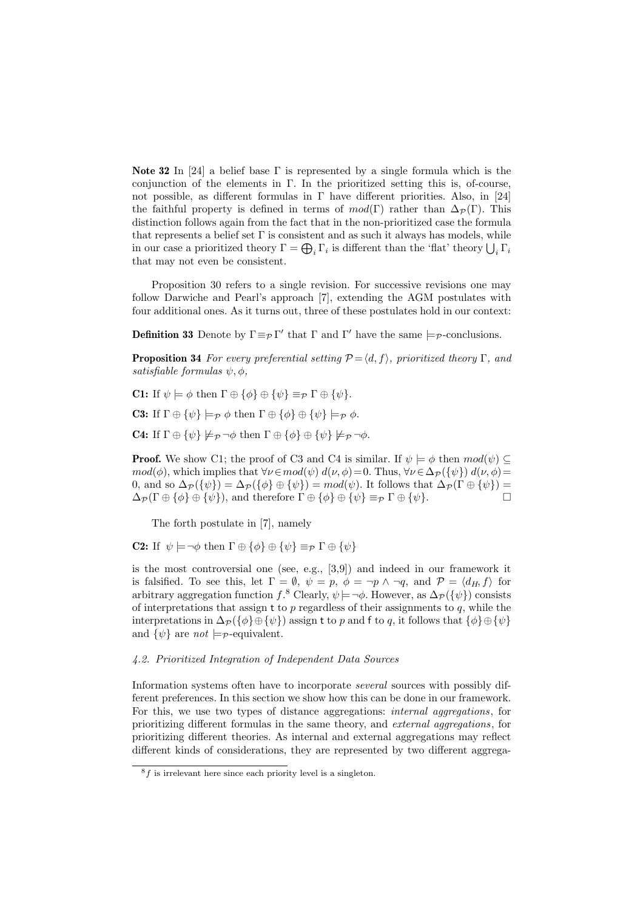Note 32 In [24] a belief base  $\Gamma$  is represented by a single formula which is the conjunction of the elements in  $\Gamma$ . In the prioritized setting this is, of-course, not possible, as different formulas in  $\Gamma$  have different priorities. Also, in [24] the faithful property is defined in terms of  $mod(\Gamma)$  rather than  $\Delta_{\mathcal{P}}(\Gamma)$ . This distinction follows again from the fact that in the non-prioritized case the formula that represents a belief set  $\Gamma$  is consistent and as such it always has models, while in our case a prioritized theory  $\Gamma = \bigoplus_i \Gamma_i$  is different than the 'flat' theory  $\bigcup_i \Gamma_i$ that may not even be consistent.

Proposition 30 refers to a single revision. For successive revisions one may follow Darwiche and Pearl's approach [7], extending the AGM postulates with four additional ones. As it turns out, three of these postulates hold in our context:

**Definition 33** Denote by  $\Gamma \equiv_P \Gamma'$  that  $\Gamma$  and  $\Gamma'$  have the same  $\models_P$ -conclusions.

**Proposition 34** For every preferential setting  $\mathcal{P} = \langle d, f \rangle$ , prioritized theory Γ, and satisfiable formulas  $\psi, \phi$ ,

C1: If  $\psi \models \phi$  then  $\Gamma \oplus {\phi} \rbrace \oplus {\psi} \equiv_{\mathcal{P}} \Gamma \oplus {\psi}.$ 

**C3:** If  $\Gamma \oplus {\psi} \models_{\mathcal{P}} \phi$  then  $\Gamma \oplus {\phi} \oplus {\psi} \models_{\mathcal{P}} \phi$ .

**C4:** If  $\Gamma \oplus {\psi} \not\models_{\mathcal{P}} \neg \phi$  then  $\Gamma \oplus {\phi} \oplus {\psi} \not\models_{\mathcal{P}} \neg \phi$ .

**Proof.** We show C1; the proof of C3 and C4 is similar. If  $\psi \models \phi$  then  $mod(\psi) \subseteq$  $mod(\phi)$ , which implies that  $\forall \nu \in mod(\psi)$   $d(\nu, \phi) = 0$ . Thus,  $\forall \nu \in \Delta_{\mathcal{P}}(\{\psi\})$   $d(\nu, \phi) =$ 0, and so  $\Delta_{\mathcal{P}}(\{\psi\}) = \Delta_{\mathcal{P}}(\{\phi\} \oplus \{\psi\}) = mod(\psi)$ . It follows that  $\Delta_{\mathcal{P}}(\Gamma \oplus \{\psi\}) =$  $\Delta_{\mathcal{P}}(\Gamma \oplus {\phi} \{ \phi \} \oplus {\psi}\},\$ and therefore  $\Gamma \oplus {\phi} \{ \phi \} \oplus {\psi} \equiv_{\mathcal{P}} \Gamma \oplus {\psi}.$ 

The forth postulate in [7], namely

**C2:** If  $\psi \models \neg \phi$  then  $\Gamma \oplus {\phi} \uplus {\phi} \oplus {\psi} \equiv_{\mathcal{P}} \Gamma \oplus {\psi}$ 

is the most controversial one (see, e.g., [3,9]) and indeed in our framework it is falsified. To see this, let  $\Gamma = \emptyset$ ,  $\psi = p$ ,  $\phi = \neg p \land \neg q$ , and  $\mathcal{P} = \langle d_H, f \rangle$  for arbitrary aggregation function  $f$ .<sup>8</sup> Clearly,  $\psi$  $\models$   $\neg \phi$ . However, as  $\Delta_{\mathcal{P}}(\{\psi\})$  consists of interpretations that assign t to  $p$  regardless of their assignments to  $q$ , while the interpretations in  $\Delta_{\mathcal{P}}(\{\phi\}\oplus\{\psi\})$  assign t to p and f to q, it follows that  $\{\phi\}\oplus\{\psi\}$ and  $\{\psi\}$  are not  $\models_{\mathcal{P}}$ -equivalent.

### 4.2. Prioritized Integration of Independent Data Sources

Information systems often have to incorporate several sources with possibly different preferences. In this section we show how this can be done in our framework. For this, we use two types of distance aggregations: internal aggregations, for prioritizing different formulas in the same theory, and external aggregations, for prioritizing different theories. As internal and external aggregations may reflect different kinds of considerations, they are represented by two different aggrega-

 ${}^{8}f$  is irrelevant here since each priority level is a singleton.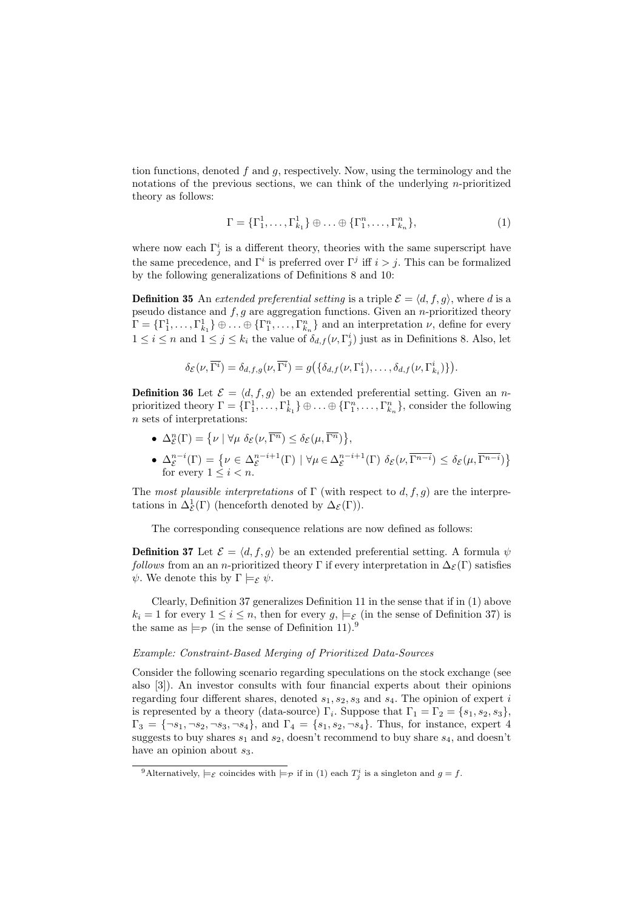tion functions, denoted  $f$  and  $g$ , respectively. Now, using the terminology and the notations of the previous sections, we can think of the underlying n-prioritized theory as follows:

$$
\Gamma = \{\Gamma_1^1, \dots, \Gamma_{k_1}^1\} \oplus \dots \oplus \{\Gamma_1^n, \dots, \Gamma_{k_n}^n\},\tag{1}
$$

where now each  $\Gamma_j^i$  is a different theory, theories with the same superscript have the same precedence, and  $\Gamma^i$  is preferred over  $\Gamma^j$  iff  $i > j$ . This can be formalized by the following generalizations of Definitions 8 and 10:

**Definition 35** An extended preferential setting is a triple  $\mathcal{E} = \langle d, f, g \rangle$ , where d is a pseudo distance and  $f, g$  are aggregation functions. Given an *n*-prioritized theory  $\Gamma = \{\Gamma_1^1, \ldots, \Gamma_{k_1}^1\} \oplus \ldots \oplus \{\Gamma_1^n, \ldots, \Gamma_{k_n}^n\}$  and an interpretation  $\nu$ , define for every  $1 \leq i \leq n$  and  $1 \leq j \leq k_i$  the value of  $\delta_{d,f}(\nu, \Gamma^i_j)$  just as in Definitions 8. Also, let

$$
\delta_{\mathcal{E}}(\nu,\overline{\Gamma^i})=\delta_{d,f,g}(\nu,\overline{\Gamma^i})=g(\{\delta_{d,f}(\nu,\Gamma_1^i),\ldots,\delta_{d,f}(\nu,\Gamma_{k_i}^i)\}).
$$

**Definition 36** Let  $\mathcal{E} = \langle d, f, g \rangle$  be an extended preferential setting. Given an nprioritized theory  $\Gamma = \{\Gamma_1^1, \ldots, \Gamma_{k_1}^1\} \oplus \ldots \oplus \{\Gamma_1^n, \ldots, \Gamma_{k_n}^n\}$ , consider the following n sets of interpretations:

- $\Delta_{\mathcal{E}}^n(\Gamma) = \{ \nu \mid \forall \mu \; \delta_{\mathcal{E}}(\nu, \overline{\Gamma^n}) \leq \delta_{\mathcal{E}}(\mu, \overline{\Gamma^n}) \}$ ,
- $\Delta_{\mathcal{E}}^{n-i}(\Gamma) = \{ \nu \in \Delta_{\mathcal{E}}^{n-i+1}(\Gamma) \mid \forall \mu \in \Delta_{\mathcal{E}}^{n-i+1}(\Gamma) \; \delta_{\mathcal{E}}(\nu, \overline{\Gamma^{n-i}}) \leq \delta_{\mathcal{E}}(\mu, \overline{\Gamma^{n-i}}) \}$ for every  $1 \leq i < n$ .

The most plausible interpretations of  $\Gamma$  (with respect to d, f, q) are the interpretations in  $\Delta_{\mathcal{E}}^1(\Gamma)$  (henceforth denoted by  $\Delta_{\mathcal{E}}(\Gamma)$ ).

The corresponding consequence relations are now defined as follows:

**Definition 37** Let  $\mathcal{E} = \langle d, f, g \rangle$  be an extended preferential setting. A formula  $\psi$ follows from an an n-prioritized theory Γ if every interpretation in  $\Delta_{\mathcal{E}}(\Gamma)$  satisfies  $\psi$ . We denote this by  $\Gamma \models_{\mathcal{E}} \psi$ .

Clearly, Definition 37 generalizes Definition 11 in the sense that if in (1) above  $k_i = 1$  for every  $1 \leq i \leq n$ , then for every  $g_i \models_{\mathcal{E}}$  (in the sense of Definition 37) is the same as  $\models p$  (in the sense of Definition 11).<sup>9</sup>

#### Example: Constraint-Based Merging of Prioritized Data-Sources

Consider the following scenario regarding speculations on the stock exchange (see also [3]). An investor consults with four financial experts about their opinions regarding four different shares, denoted  $s_1, s_2, s_3$  and  $s_4$ . The opinion of expert i is represented by a theory (data-source)  $\Gamma_i$ . Suppose that  $\Gamma_1 = \Gamma_2 = \{s_1, s_2, s_3\},\$  $\Gamma_3 = \{\neg s_1, \neg s_2, \neg s_3, \neg s_4\}$ , and  $\Gamma_4 = \{s_1, s_2, \neg s_4\}$ . Thus, for instance, expert 4 suggests to buy shares  $s_1$  and  $s_2$ , doesn't recommend to buy share  $s_4$ , and doesn't have an opinion about  $s_3$ .

<sup>&</sup>lt;sup>9</sup>Alternatively,  $\models_{\mathcal{E}}$  coincides with  $\models_{\mathcal{P}}$  if in (1) each  $T_j^i$  is a singleton and  $g = f$ .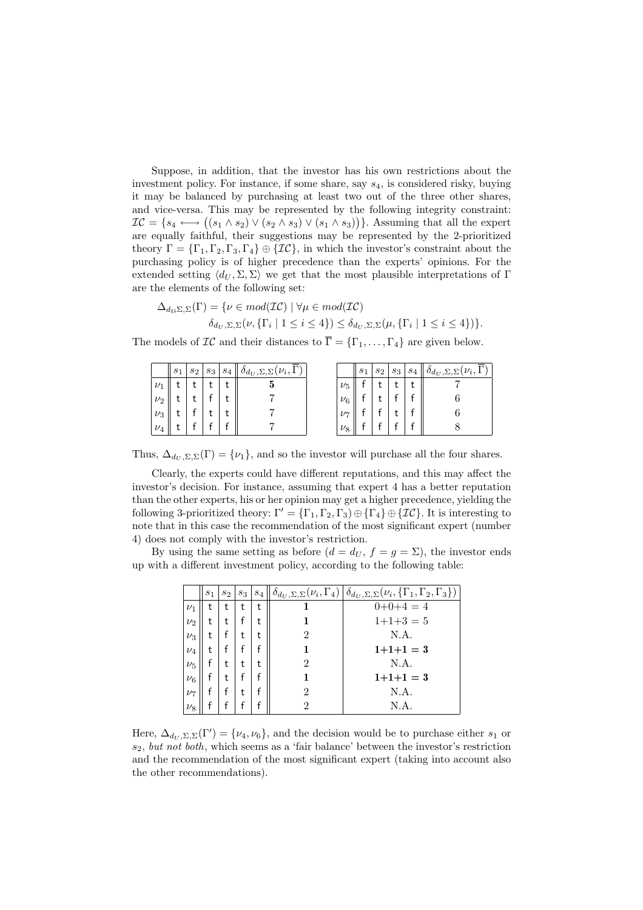Suppose, in addition, that the investor has his own restrictions about the investment policy. For instance, if some share, say s4, is considered risky, buying it may be balanced by purchasing at least two out of the three other shares, and vice-versa. This may be represented by the following integrity constraint: and vice-versa. This may be represented by the following integrity constraint:<br> $IC = \{s_4 \longleftrightarrow ((s_1 \wedge s_2) \vee (s_2 \wedge s_3) \vee (s_1 \wedge s_3))\}.$  Assuming that all the expert are equally faithful, their suggestions may be represented by the 2-prioritized theory  $\Gamma = {\{\Gamma_1,\Gamma_2,\Gamma_3,\Gamma_4\}} \oplus {\{\mathcal{IC}\}},$  in which the investor's constraint about the purchasing policy is of higher precedence than the experts' opinions. For the extended setting  $\langle d_U, \Sigma, \Sigma \rangle$  we get that the most plausible interpretations of Γ are the elements of the following set:

$$
\Delta_{d_{\mathcal{U}}\Sigma,\Sigma}(\Gamma) = \{ \nu \in mod(\mathcal{IC}) \mid \forall \mu \in mod(\mathcal{IC}) \delta_{d_{\mathcal{U}},\Sigma,\Sigma}(\nu,\{\Gamma_i \mid 1 \leq i \leq 4\}) \leq \delta_{d_{\mathcal{U}},\Sigma,\Sigma}(\mu,\{\Gamma_i \mid 1 \leq i \leq 4\}) \}.
$$

The models of  $\mathcal{IC}$  and their distances to  $\overline{\Gamma} = {\Gamma_1, \ldots, \Gamma_4}$  are given below.

|         | $s_1$ | $s_2$ | $s_3$ | $^{\circ}$ $s_4$ | $(\nu_i,$<br>$o_{d_U, \Sigma, \Sigma}$ |           | $s_1$ | $s_2$ | $s_3$ | $^{\shortmid}$ $s_4$ | $ \nu_i, 1 $<br>$d_U$ , $\Sigma$ , $\Sigma$ ( |
|---------|-------|-------|-------|------------------|----------------------------------------|-----------|-------|-------|-------|----------------------|-----------------------------------------------|
| $\nu_1$ |       |       |       |                  | a                                      | $\nu_5$   |       |       |       |                      |                                               |
| $\nu_2$ |       |       |       |                  |                                        | $\nu_6$   |       |       |       |                      |                                               |
| $\nu_3$ |       |       |       |                  |                                        | $\nu_{7}$ |       |       |       |                      |                                               |
| $\nu_4$ |       |       |       |                  |                                        | $\nu_8$   |       |       |       |                      |                                               |

Thus,  $\Delta_{d_U, \Sigma, \Sigma}(\Gamma) = \{\nu_1\}$ , and so the investor will purchase all the four shares.

Clearly, the experts could have different reputations, and this may affect the investor's decision. For instance, assuming that expert 4 has a better reputation than the other experts, his or her opinion may get a higher precedence, yielding the following 3-prioritized theory:  $\Gamma' = {\{\Gamma_1, \Gamma_2, \Gamma_3\}} \oplus {\{\Gamma_4\}} \oplus {\{\mathcal{IC}\}}$ . It is interesting to note that in this case the recommendation of the most significant expert (number 4) does not comply with the investor's restriction.

By using the same setting as before  $(d = d_U, f = g = \Sigma)$ , the investor ends up with a different investment policy, according to the following table:

|         | s <sub>1</sub> | $s_2$ | $s_3$ | $S_4$ |   | $\delta_{d_U, \Sigma, \Sigma}(\nu_i, \Gamma_4) \,   \, \delta_{d_U, \Sigma, \Sigma}(\nu_i, {\Gamma_1, \Gamma_2, \Gamma_3}) \,  $ |
|---------|----------------|-------|-------|-------|---|----------------------------------------------------------------------------------------------------------------------------------|
| $\nu_1$ | t              | t     | t     | t     |   | $0+0+4=4$                                                                                                                        |
| $\nu_2$ | t              | t     |       | t     |   | $1+1+3=5$                                                                                                                        |
| $\nu_3$ | t              |       | t     |       | 2 | N.A.                                                                                                                             |
| $\nu_4$ | t              |       |       |       |   | $1+1+1=3$                                                                                                                        |
| $\nu_5$ |                | t     | t     |       | 2 | N.A.                                                                                                                             |
| $\nu_6$ |                | t     |       |       |   | $1+1+1=3$                                                                                                                        |
| $\nu_7$ |                |       | t     |       | 2 | N.A.                                                                                                                             |
| $\nu_8$ |                |       |       |       |   | N.A.                                                                                                                             |

Here,  $\Delta_{d_U, \Sigma, \Sigma}(\Gamma') = \{\nu_4, \nu_6\}$ , and the decision would be to purchase either  $s_1$  or  $s_2$ , but not both, which seems as a 'fair balance' between the investor's restriction and the recommendation of the most significant expert (taking into account also the other recommendations).